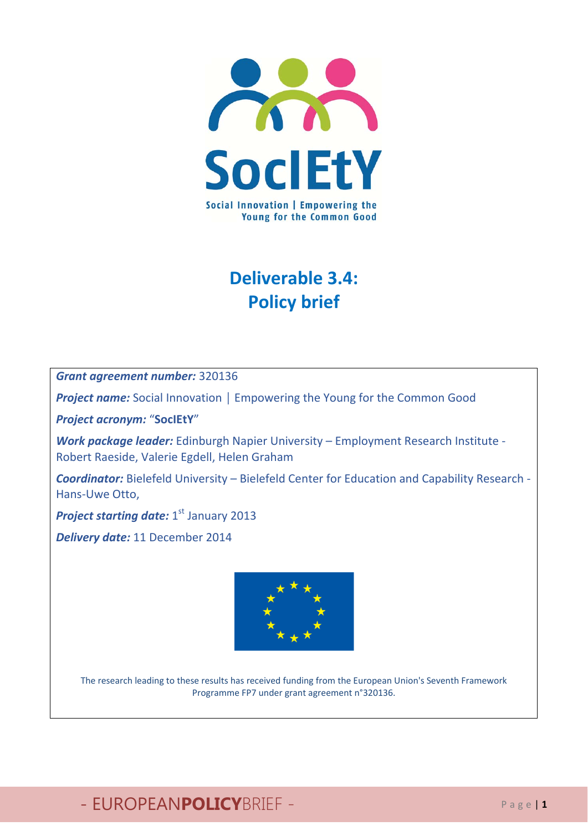

## **Deliverable 3.4: Policy brief**

*Grant agreement number:* 320136

*Project name:* Social Innovation │ Empowering the Young for the Common Good

*Project acronym:* "**SocIEtY**"

*Work package leader:* Edinburgh Napier University – Employment Research Institute ‐ Robert Raeside, Valerie Egdell, Helen Graham

*Coordinator:* Bielefeld University – Bielefeld Center for Education and Capability Research ‐ Hans‐Uwe Otto,

**Project starting date:** 1<sup>st</sup> January 2013

*Delivery date:* 11 December 2014



The research leading to these results has received funding from the European Union's Seventh Framework Programme FP7 under grant agreement n°320136.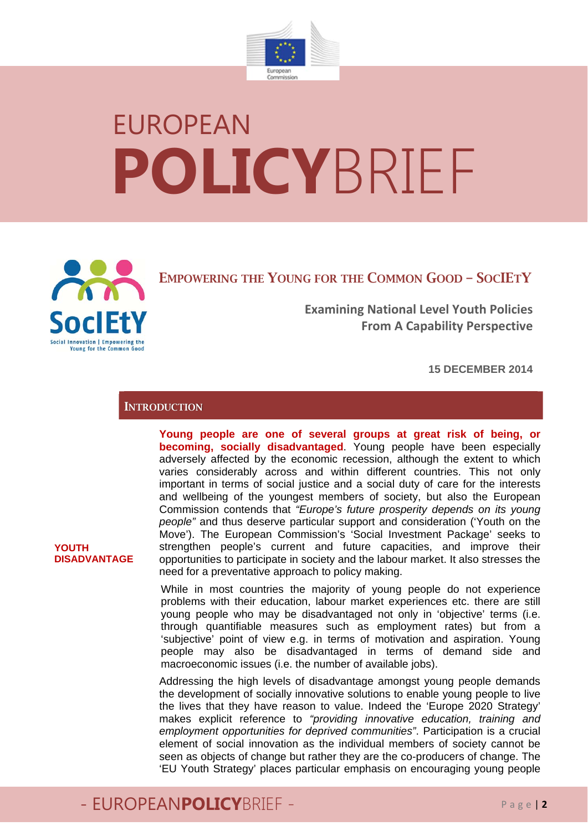

# EUROPEAN **POLICY**BRIEF



EMPOWERING THE YOUNG FOR THE COMMON GOOD – SOCIETY

**Examining National Level Youth Policies From A Capability Perspective**

**15 DECEMBER 2014**

#### **INTRODUCTION**

**Young people are one of several groups at great risk of being, or becoming, socially disadvantaged**. Young people have been especially adversely affected by the economic recession, although the extent to which varies considerably across and within different countries. This not only important in terms of social justice and a social duty of care for the interests and wellbeing of the youngest members of society, but also the European Commission contends that *"Europe's future prosperity depends on its young people"* and thus deserve particular support and consideration ('Youth on the Move'). The European Commission's 'Social Investment Package' seeks to strengthen people's current and future capacities, and improve their opportunities to participate in society and the labour market. It also stresses the need for a preventative approach to policy making.

While in most countries the majority of young people do not experience problems with their education, labour market experiences etc. there are still young people who may be disadvantaged not only in 'objective' terms (i.e. through quantifiable measures such as employment rates) but from a 'subjective' point of view e.g. in terms of motivation and aspiration. Young people may also be disadvantaged in terms of demand side and macroeconomic issues (i.e. the number of available jobs).

Addressing the high levels of disadvantage amongst young people demands the development of socially innovative solutions to enable young people to live the lives that they have reason to value. Indeed the 'Europe 2020 Strategy' makes explicit reference to *"providing innovative education, training and employment opportunities for deprived communities"*. Participation is a crucial element of social innovation as the individual members of society cannot be seen as objects of change but rather they are the co-producers of change. The 'EU Youth Strategy' places particular emphasis on encouraging young people

#### **YOUTH DISADVANTAGE**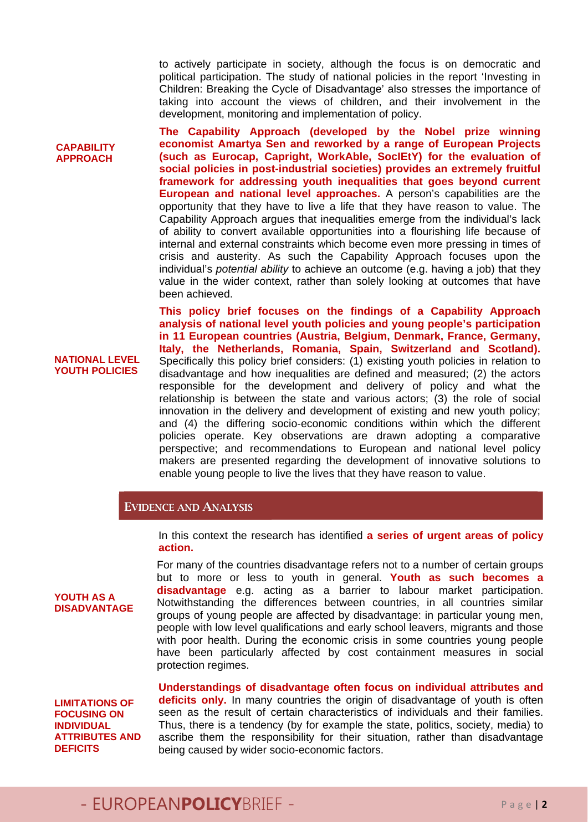to actively participate in society, although the focus is on democratic and political participation. The study of national policies in the report 'Investing in Children: Breaking the Cycle of Disadvantage' also stresses the importance of taking into account the views of children, and their involvement in the development, monitoring and implementation of policy.

**The Capability Approach (developed by the Nobel prize winning economist Amartya Sen and reworked by a range of European Projects (such as Eurocap, Capright, WorkAble, SocIEtY) for the evaluation of social policies in post-industrial societies) provides an extremely fruitful framework for addressing youth inequalities that goes beyond current European and national level approaches.** A person's capabilities are the opportunity that they have to live a life that they have reason to value. The Capability Approach argues that inequalities emerge from the individual's lack of ability to convert available opportunities into a flourishing life because of internal and external constraints which become even more pressing in times of crisis and austerity. As such the Capability Approach focuses upon the individual's *potential ability* to achieve an outcome (e.g. having a job) that they value in the wider context, rather than solely looking at outcomes that have been achieved.

**NATIONAL LEVEL YOUTH POLICIES This policy brief focuses on the findings of a Capability Approach analysis of national level youth policies and young people's participation in 11 European countries (Austria, Belgium, Denmark, France, Germany, Italy, the Netherlands, Romania, Spain, Switzerland and Scotland).** Specifically this policy brief considers: (1) existing youth policies in relation to disadvantage and how inequalities are defined and measured; (2) the actors responsible for the development and delivery of policy and what the relationship is between the state and various actors; (3) the role of social innovation in the delivery and development of existing and new youth policy; and (4) the differing socio-economic conditions within which the different policies operate. Key observations are drawn adopting a comparative perspective; and recommendations to European and national level policy makers are presented regarding the development of innovative solutions to enable young people to live the lives that they have reason to value.

#### EVIDENCE AND ANALYSIS

In this context the research has identified **a series of urgent areas of policy action.** 

For many of the countries disadvantage refers not to a number of certain groups but to more or less to youth in general. **Youth as such becomes a disadvantage** e.g. acting as a barrier to labour market participation. Notwithstanding the differences between countries, in all countries similar groups of young people are affected by disadvantage: in particular young men, people with low level qualifications and early school leavers, migrants and those with poor health. During the economic crisis in some countries young people have been particularly affected by cost containment measures in social protection regimes.

**LIMITATIONS OF FOCUSING ON INDIVIDUAL ATTRIBUTES AND DEFICITS** 

**YOUTH AS A DISADVANTAGE** 

**CAPABILITY APPROACH**

> **Understandings of disadvantage often focus on individual attributes and deficits only.** In many countries the origin of disadvantage of youth is often seen as the result of certain characteristics of individuals and their families. Thus, there is a tendency (by for example the state, politics, society, media) to ascribe them the responsibility for their situation, rather than disadvantage being caused by wider socio-economic factors.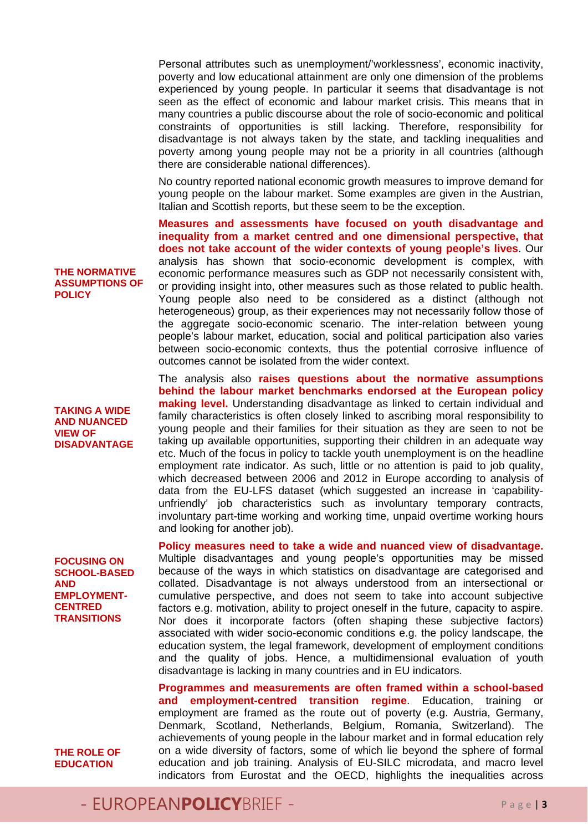Personal attributes such as unemployment/'worklessness', economic inactivity, poverty and low educational attainment are only one dimension of the problems experienced by young people. In particular it seems that disadvantage is not seen as the effect of economic and labour market crisis. This means that in many countries a public discourse about the role of socio-economic and political constraints of opportunities is still lacking. Therefore, responsibility for disadvantage is not always taken by the state, and tackling inequalities and poverty among young people may not be a priority in all countries (although there are considerable national differences).

No country reported national economic growth measures to improve demand for young people on the labour market. Some examples are given in the Austrian, Italian and Scottish reports, but these seem to be the exception.

**Measures and assessments have focused on youth disadvantage and inequality from a market centred and one dimensional perspective, that does not take account of the wider contexts of young people's lives**. Our analysis has shown that socio-economic development is complex, with economic performance measures such as GDP not necessarily consistent with, or providing insight into, other measures such as those related to public health. Young people also need to be considered as a distinct (although not heterogeneous) group, as their experiences may not necessarily follow those of the aggregate socio-economic scenario. The inter-relation between young people's labour market, education, social and political participation also varies between socio-economic contexts, thus the potential corrosive influence of outcomes cannot be isolated from the wider context.

The analysis also **raises questions about the normative assumptions behind the labour market benchmarks endorsed at the European policy making level.** Understanding disadvantage as linked to certain individual and family characteristics is often closely linked to ascribing moral responsibility to young people and their families for their situation as they are seen to not be taking up available opportunities, supporting their children in an adequate way etc. Much of the focus in policy to tackle youth unemployment is on the headline employment rate indicator. As such, little or no attention is paid to job quality, which decreased between 2006 and 2012 in Europe according to analysis of data from the EU-LFS dataset (which suggested an increase in 'capabilityunfriendly' job characteristics such as involuntary temporary contracts, involuntary part-time working and working time, unpaid overtime working hours and looking for another job).

**Policy measures need to take a wide and nuanced view of disadvantage.** Multiple disadvantages and young people's opportunities may be missed because of the ways in which statistics on disadvantage are categorised and collated. Disadvantage is not always understood from an intersectional or cumulative perspective, and does not seem to take into account subjective factors e.g. motivation, ability to project oneself in the future, capacity to aspire. Nor does it incorporate factors (often shaping these subjective factors) associated with wider socio-economic conditions e.g. the policy landscape, the education system, the legal framework, development of employment conditions and the quality of jobs. Hence, a multidimensional evaluation of youth disadvantage is lacking in many countries and in EU indicators.

**Programmes and measurements are often framed within a school-based and employment-centred transition regime**. Education, training or employment are framed as the route out of poverty (e.g. Austria, Germany, Denmark, Scotland, Netherlands, Belgium, Romania, Switzerland). The achievements of young people in the labour market and in formal education rely on a wide diversity of factors, some of which lie beyond the sphere of formal education and job training. Analysis of EU-SILC microdata, and macro level indicators from Eurostat and the OECD, highlights the inequalities across

#### **THE NORMATIVE ASSUMPTIONS OF POLICY**

**TAKING A WIDE AND NUANCED VIEW OF DISADVANTAGE** 

**FOCUSING ON SCHOOL-BASED AND EMPLOYMENT-CENTRED TRANSITIONS** 

**THE ROLE OF EDUCATION**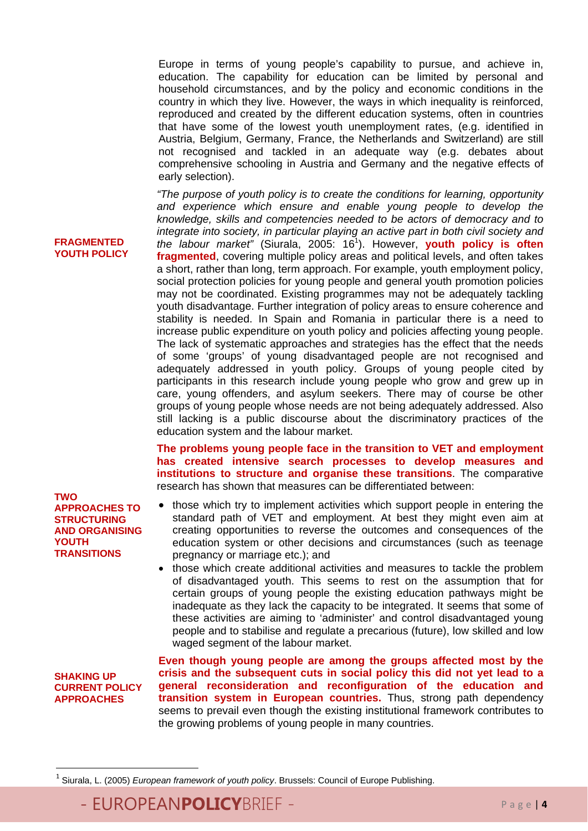Europe in terms of young people's capability to pursue, and achieve in, education. The capability for education can be limited by personal and household circumstances, and by the policy and economic conditions in the country in which they live. However, the ways in which inequality is reinforced, reproduced and created by the different education systems, often in countries that have some of the lowest youth unemployment rates, (e.g. identified in Austria, Belgium, Germany, France, the Netherlands and Switzerland) are still not recognised and tackled in an adequate way (e.g. debates about comprehensive schooling in Austria and Germany and the negative effects of early selection).

*"The purpose of youth policy is to create the conditions for learning, opportunity and experience which ensure and enable young people to develop the knowledge, skills and competencies needed to be actors of democracy and to integrate into society, in particular playing an active part in both civil society and the labour market"* (Siurala, 2005: 16<sup>1</sup> ). However, **youth policy is often fragmented**, covering multiple policy areas and political levels, and often takes a short, rather than long, term approach. For example, youth employment policy, social protection policies for young people and general youth promotion policies may not be coordinated. Existing programmes may not be adequately tackling youth disadvantage. Further integration of policy areas to ensure coherence and stability is needed. In Spain and Romania in particular there is a need to increase public expenditure on youth policy and policies affecting young people. The lack of systematic approaches and strategies has the effect that the needs of some 'groups' of young disadvantaged people are not recognised and adequately addressed in youth policy. Groups of young people cited by participants in this research include young people who grow and grew up in care, young offenders, and asylum seekers. There may of course be other groups of young people whose needs are not being adequately addressed. Also still lacking is a public discourse about the discriminatory practices of the education system and the labour market.

**The problems young people face in the transition to VET and employment has created intensive search processes to develop measures and institutions to structure and organise these transitions**. The comparative research has shown that measures can be differentiated between:

- those which try to implement activities which support people in entering the standard path of VET and employment. At best they might even aim at creating opportunities to reverse the outcomes and consequences of the education system or other decisions and circumstances (such as teenage pregnancy or marriage etc.); and
- those which create additional activities and measures to tackle the problem of disadvantaged youth. This seems to rest on the assumption that for certain groups of young people the existing education pathways might be inadequate as they lack the capacity to be integrated. It seems that some of these activities are aiming to 'administer' and control disadvantaged young people and to stabilise and regulate a precarious (future), low skilled and low waged segment of the labour market.

**SHAKING UP CURRENT POLICY APPROACHES** 

**TWO** 

**YOUTH** 

**TRANSITIONS** 

**APPROACHES TO STRUCTURING AND ORGANISING** 

**FRAGMENTED YOUTH POLICY** 

> **Even though young people are among the groups affected most by the crisis and the subsequent cuts in social policy this did not yet lead to a general reconsideration and reconfiguration of the education and transition system in European countries.** Thus, strong path dependency seems to prevail even though the existing institutional framework contributes to the growing problems of young people in many countries.

<sup>1</sup> Siurala, L. (2005) *European framework of youth policy*. Brussels: Council of Europe Publishing.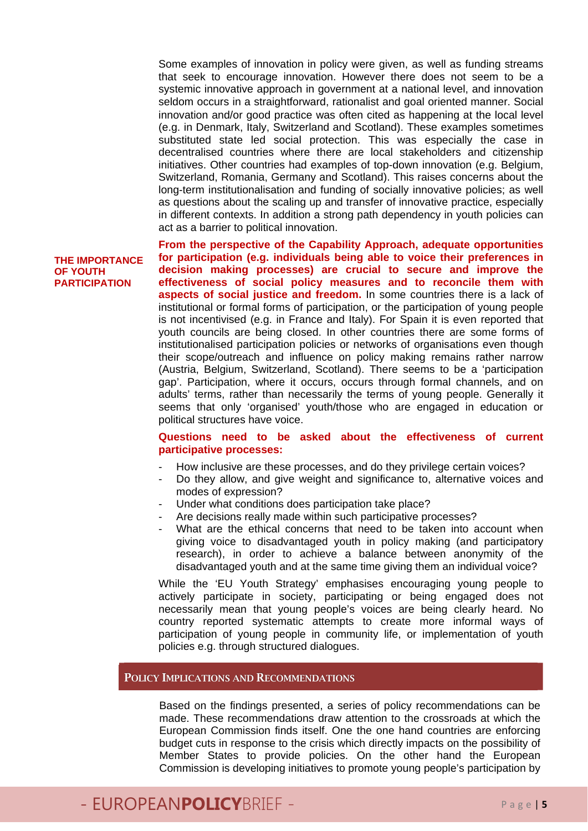Some examples of innovation in policy were given, as well as funding streams that seek to encourage innovation. However there does not seem to be a systemic innovative approach in government at a national level, and innovation seldom occurs in a straightforward, rationalist and goal oriented manner. Social innovation and/or good practice was often cited as happening at the local level (e.g. in Denmark, Italy, Switzerland and Scotland). These examples sometimes substituted state led social protection. This was especially the case in decentralised countries where there are local stakeholders and citizenship initiatives. Other countries had examples of top-down innovation (e.g. Belgium, Switzerland, Romania, Germany and Scotland). This raises concerns about the long-term institutionalisation and funding of socially innovative policies; as well as questions about the scaling up and transfer of innovative practice, especially in different contexts. In addition a strong path dependency in youth policies can act as a barrier to political innovation.

#### **THE IMPORTANCE OF YOUTH PARTICIPATION**

**From the perspective of the Capability Approach, adequate opportunities for participation (e.g. individuals being able to voice their preferences in decision making processes) are crucial to secure and improve the effectiveness of social policy measures and to reconcile them with aspects of social justice and freedom.** In some countries there is a lack of institutional or formal forms of participation, or the participation of young people is not incentivised (e.g. in France and Italy). For Spain it is even reported that youth councils are being closed. In other countries there are some forms of institutionalised participation policies or networks of organisations even though their scope/outreach and influence on policy making remains rather narrow (Austria, Belgium, Switzerland, Scotland). There seems to be a 'participation gap'. Participation, where it occurs, occurs through formal channels, and on adults' terms, rather than necessarily the terms of young people. Generally it seems that only 'organised' youth/those who are engaged in education or political structures have voice.

#### **Questions need to be asked about the effectiveness of current participative processes:**

- How inclusive are these processes, and do they privilege certain voices?
- Do they allow, and give weight and significance to, alternative voices and modes of expression?
- Under what conditions does participation take place?
- Are decisions really made within such participative processes?
- What are the ethical concerns that need to be taken into account when giving voice to disadvantaged youth in policy making (and participatory research), in order to achieve a balance between anonymity of the disadvantaged youth and at the same time giving them an individual voice?

While the 'EU Youth Strategy' emphasises encouraging young people to actively participate in society, participating or being engaged does not necessarily mean that young people's voices are being clearly heard. No country reported systematic attempts to create more informal ways of participation of young people in community life, or implementation of youth policies e.g. through structured dialogues.

#### POLICY IMPLICATIONS AND RECOMMENDATIONS

Based on the findings presented, a series of policy recommendations can be made. These recommendations draw attention to the crossroads at which the European Commission finds itself. One the one hand countries are enforcing budget cuts in response to the crisis which directly impacts on the possibility of Member States to provide policies. On the other hand the European Commission is developing initiatives to promote young people's participation by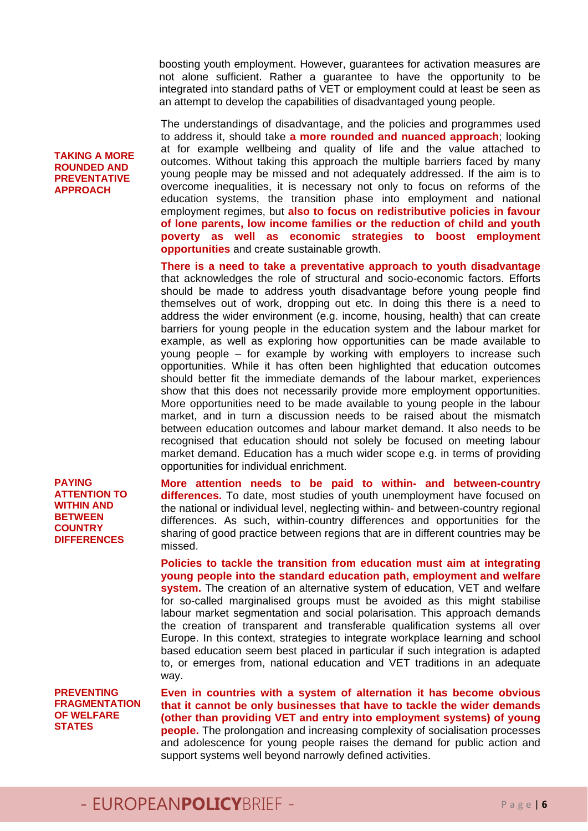boosting youth employment. However, guarantees for activation measures are not alone sufficient. Rather a guarantee to have the opportunity to be integrated into standard paths of VET or employment could at least be seen as an attempt to develop the capabilities of disadvantaged young people.

The understandings of disadvantage, and the policies and programmes used to address it, should take **a more rounded and nuanced approach**; looking at for example wellbeing and quality of life and the value attached to outcomes. Without taking this approach the multiple barriers faced by many young people may be missed and not adequately addressed. If the aim is to overcome inequalities, it is necessary not only to focus on reforms of the education systems, the transition phase into employment and national employment regimes, but **also to focus on redistributive policies in favour of lone parents, low income families or the reduction of child and youth poverty as well as economic strategies to boost employment opportunities** and create sustainable growth.

**There is a need to take a preventative approach to youth disadvantage** that acknowledges the role of structural and socio-economic factors. Efforts should be made to address youth disadvantage before young people find themselves out of work, dropping out etc. In doing this there is a need to address the wider environment (e.g. income, housing, health) that can create barriers for young people in the education system and the labour market for example, as well as exploring how opportunities can be made available to young people – for example by working with employers to increase such opportunities. While it has often been highlighted that education outcomes should better fit the immediate demands of the labour market, experiences show that this does not necessarily provide more employment opportunities. More opportunities need to be made available to young people in the labour market, and in turn a discussion needs to be raised about the mismatch between education outcomes and labour market demand. It also needs to be recognised that education should not solely be focused on meeting labour market demand. Education has a much wider scope e.g. in terms of providing opportunities for individual enrichment.

**More attention needs to be paid to within- and between-country differences.** To date, most studies of youth unemployment have focused on the national or individual level, neglecting within- and between-country regional differences. As such, within-country differences and opportunities for the sharing of good practice between regions that are in different countries may be missed.

**Policies to tackle the transition from education must aim at integrating young people into the standard education path, employment and welfare system.** The creation of an alternative system of education, VET and welfare for so-called marginalised groups must be avoided as this might stabilise labour market segmentation and social polarisation. This approach demands the creation of transparent and transferable qualification systems all over Europe. In this context, strategies to integrate workplace learning and school based education seem best placed in particular if such integration is adapted to, or emerges from, national education and VET traditions in an adequate way.

**PREVENTING FRAGMENTATION OF WELFARE STATES** 

**Even in countries with a system of alternation it has become obvious that it cannot be only businesses that have to tackle the wider demands (other than providing VET and entry into employment systems) of young people.** The prolongation and increasing complexity of socialisation processes and adolescence for young people raises the demand for public action and support systems well beyond narrowly defined activities.

#### **TAKING A MORE ROUNDED AND PREVENTATIVE APPROACH**

**PAYING ATTENTION TO WITHIN AND BETWEEN COUNTRY DIFFERENCES**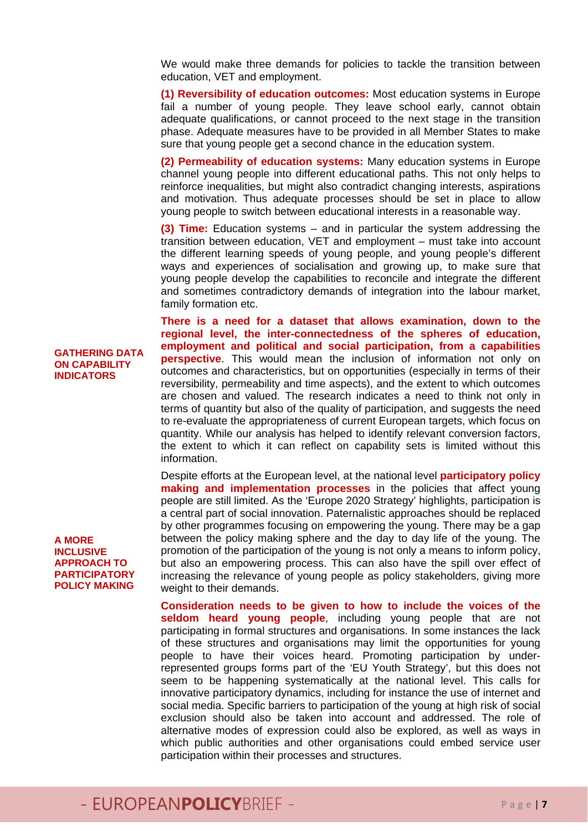We would make three demands for policies to tackle the transition between education, VET and employment.

**(1) Reversibility of education outcomes:** Most education systems in Europe fail a number of young people. They leave school early, cannot obtain adequate qualifications, or cannot proceed to the next stage in the transition phase. Adequate measures have to be provided in all Member States to make sure that young people get a second chance in the education system.

**(2) Permeability of education systems:** Many education systems in Europe channel young people into different educational paths. This not only helps to reinforce inequalities, but might also contradict changing interests, aspirations and motivation. Thus adequate processes should be set in place to allow young people to switch between educational interests in a reasonable way.

**(3) Time:** Education systems – and in particular the system addressing the transition between education, VET and employment – must take into account the different learning speeds of young people, and young people's different ways and experiences of socialisation and growing up, to make sure that young people develop the capabilities to reconcile and integrate the different and sometimes contradictory demands of integration into the labour market, family formation etc.

**There is a need for a dataset that allows examination, down to the regional level, the inter-connectedness of the spheres of education, employment and political and social participation, from a capabilities perspective**. This would mean the inclusion of information not only on outcomes and characteristics, but on opportunities (especially in terms of their reversibility, permeability and time aspects), and the extent to which outcomes are chosen and valued. The research indicates a need to think not only in terms of quantity but also of the quality of participation, and suggests the need to re-evaluate the appropriateness of current European targets, which focus on quantity. While our analysis has helped to identify relevant conversion factors, the extent to which it can reflect on capability sets is limited without this information.

Despite efforts at the European level, at the national level **participatory policy making and implementation processes** in the policies that affect young people are still limited. As the 'Europe 2020 Strategy' highlights, participation is a central part of social innovation. Paternalistic approaches should be replaced by other programmes focusing on empowering the young. There may be a gap between the policy making sphere and the day to day life of the young. The promotion of the participation of the young is not only a means to inform policy, but also an empowering process. This can also have the spill over effect of increasing the relevance of young people as policy stakeholders, giving more weight to their demands.

**Consideration needs to be given to how to include the voices of the seldom heard young people**, including young people that are not participating in formal structures and organisations. In some instances the lack of these structures and organisations may limit the opportunities for young people to have their voices heard. Promoting participation by underrepresented groups forms part of the 'EU Youth Strategy', but this does not seem to be happening systematically at the national level. This calls for innovative participatory dynamics, including for instance the use of internet and social media. Specific barriers to participation of the young at high risk of social exclusion should also be taken into account and addressed. The role of alternative modes of expression could also be explored, as well as ways in which public authorities and other organisations could embed service user participation within their processes and structures.

#### **GATHERING DATA ON CAPABILITY INDICATORS**

#### **A MORE INCLUSIVE APPROACH TO PARTICIPATORY POLICY MAKING**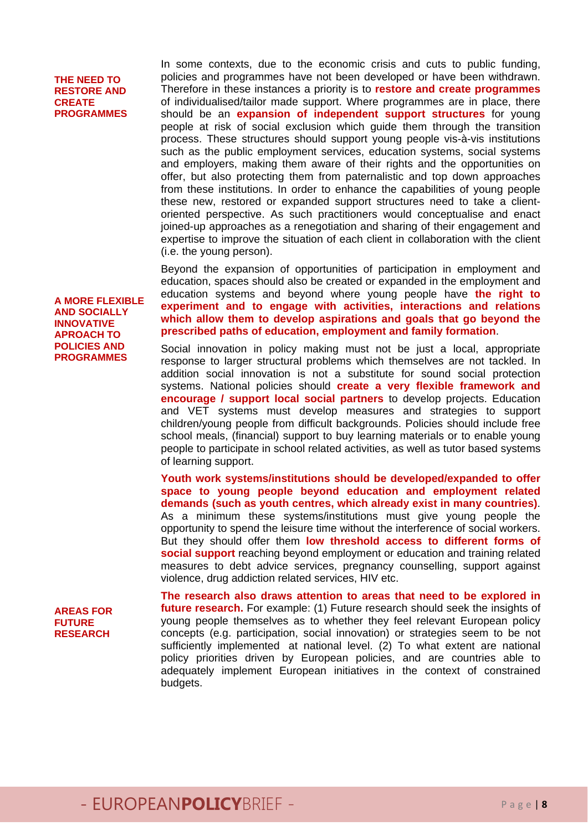#### **THE NEED TO RESTORE AND CREATE PROGRAMMES**

In some contexts, due to the economic crisis and cuts to public funding, policies and programmes have not been developed or have been withdrawn. Therefore in these instances a priority is to **restore and create programmes**  of individualised/tailor made support. Where programmes are in place, there should be an **expansion of independent support structures** for young people at risk of social exclusion which guide them through the transition process. These structures should support young people vis-à-vis institutions such as the public employment services, education systems, social systems and employers, making them aware of their rights and the opportunities on offer, but also protecting them from paternalistic and top down approaches from these institutions. In order to enhance the capabilities of young people these new, restored or expanded support structures need to take a clientoriented perspective. As such practitioners would conceptualise and enact joined-up approaches as a renegotiation and sharing of their engagement and expertise to improve the situation of each client in collaboration with the client (i.e. the young person).

Beyond the expansion of opportunities of participation in employment and education, spaces should also be created or expanded in the employment and education systems and beyond where young people have **the right to experiment and to engage with activities, interactions and relations which allow them to develop aspirations and goals that go beyond the prescribed paths of education, employment and family formation**.

Social innovation in policy making must not be just a local, appropriate response to larger structural problems which themselves are not tackled. In addition social innovation is not a substitute for sound social protection systems. National policies should **create a very flexible framework and encourage / support local social partners** to develop projects. Education and VET systems must develop measures and strategies to support children/young people from difficult backgrounds. Policies should include free school meals, (financial) support to buy learning materials or to enable young people to participate in school related activities, as well as tutor based systems of learning support.

**Youth work systems/institutions should be developed/expanded to offer space to young people beyond education and employment related demands (such as youth centres, which already exist in many countries)**. As a minimum these systems/institutions must give young people the opportunity to spend the leisure time without the interference of social workers. But they should offer them **low threshold access to different forms of social support** reaching beyond employment or education and training related measures to debt advice services, pregnancy counselling, support against violence, drug addiction related services, HIV etc.

**AREAS FOR FUTURE RESEARCH** 

**The research also draws attention to areas that need to be explored in future research.** For example: (1) Future research should seek the insights of young people themselves as to whether they feel relevant European policy concepts (e.g. participation, social innovation) or strategies seem to be not sufficiently implemented at national level. (2) To what extent are national policy priorities driven by European policies, and are countries able to adequately implement European initiatives in the context of constrained budgets.

#### **AND SOCIALLY INNOVATIVE APROACH TO POLICIES AND PROGRAMMES**

**A MORE FLEXIBLE**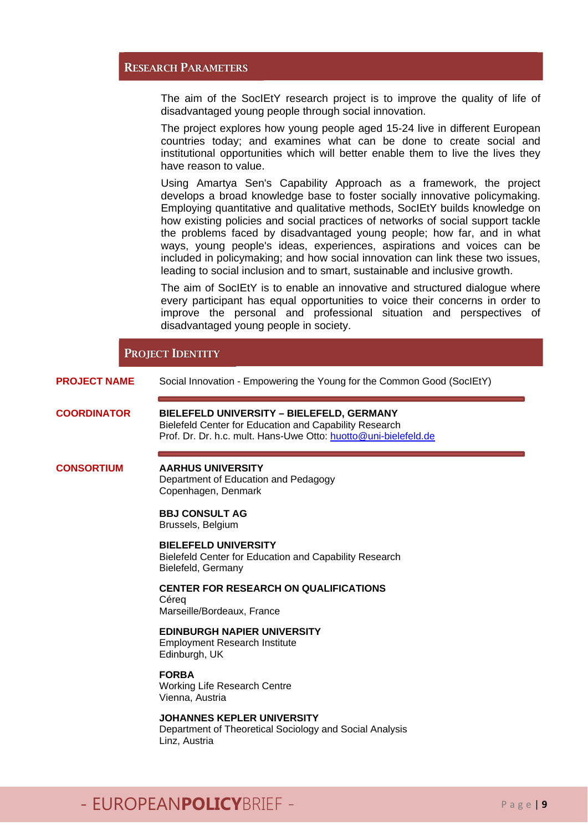#### RESEARCH PARAMETERS

The aim of the SocIEtY research project is to improve the quality of life of disadvantaged young people through social innovation.

The project explores how young people aged 15-24 live in different European countries today; and examines what can be done to create social and institutional opportunities which will better enable them to live the lives they have reason to value.

Using Amartya Sen's Capability Approach as a framework, the project develops a broad knowledge base to foster socially innovative policymaking. Employing quantitative and qualitative methods, SocIEtY builds knowledge on how existing policies and social practices of networks of social support tackle the problems faced by disadvantaged young people; how far, and in what ways, young people's ideas, experiences, aspirations and voices can be included in policymaking; and how social innovation can link these two issues, leading to social inclusion and to smart, sustainable and inclusive growth.

The aim of SocIEtY is to enable an innovative and structured dialogue where every participant has equal opportunities to voice their concerns in order to improve the personal and professional situation and perspectives of disadvantaged young people in society.

#### PROJECT IDENTITY

**PROJECT NAME** Social Innovation - Empowering the Young for the Common Good (SocIEtY)

**COORDINATOR BIELEFELD UNIVERSITY – BIELEFELD, GERMANY**  Bielefeld Center for Education and Capability Research Prof. Dr. Dr. h.c. mult. Hans-Uwe Otto: huotto@uni-bielefeld.de

#### **CONSORTIUM AARHUS UNIVERSITY**

Department of Education and Pedagogy Copenhagen, Denmark

#### **BBJ CONSULT AG**

Brussels, Belgium

#### **BIELEFELD UNIVERSITY**

Bielefeld Center for Education and Capability Research Bielefeld, Germany

**CENTER FOR RESEARCH ON QUALIFICATIONS Céreg** 

Marseille/Bordeaux, France

#### **EDINBURGH NAPIER UNIVERSITY**

Employment Research Institute Edinburgh, UK

**FORBA** 

Working Life Research Centre Vienna, Austria

### **JOHANNES KEPLER UNIVERSITY**

Department of Theoretical Sociology and Social Analysis Linz, Austria